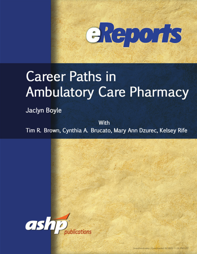

# **Career Paths in Ambulatory Care Pharmacy**

**Jaclyn Boyle** 

With Tim R. Brown, Cynthia A. Brucato, Mary Ann Dzurec, Kelsey Rife

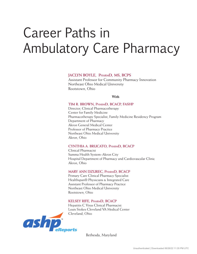# Career Paths in Ambulatory Care Pharmacy

### **JACLYN BOYLE, PharmD, MS, BCPS**

Assistant Professor for Community Pharmacy Innovation Northeast Ohio Medical University Rootstown, Ohio

#### **With**

#### **TIM R. BROWN, PharmD, BCACP, FASHP**

Director, Clinical Pharmacotherapy Center for Family Medicine Pharmacotherapy Specialist, Family Medicine Residency Program Department of Pharmacy Akron General Medical Center Professor of Pharmacy Practice Northeast Ohio Medical University Akron, Ohio

#### **CYNTHIA A. BRUCATO, PharmD, BCACP**

Clinical Pharmacist Summa Health System–Akron City Hospital Department of Pharmacy and Cardiovascular Clinic Akron, Ohio

#### **MARY ANN DZUREC, PharmD, BCACP**

Primary Care Clinical Pharmacy Specialist Healthspan® Physicians & Integrated Care Assistant Professor of Pharmacy Practice Northeast Ohio Medical University Rootstown, Ohio

#### **KELSEY RIFE, PharmD, BCACP**

Hepatitis C Virus Clinical Pharmacist Louis Stokes Cleveland VA Medical Center Cleveland, Ohio



Bethesda, Maryland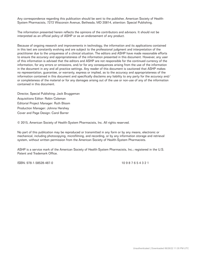Any correspondence regarding this publication should be sent to the publisher, American Society of Health-System Pharmacists, 7272 Wisconsin Avenue, Bethesda, MD 20814, attention: Special Publishing.

The information presented herein reflects the opinions of the contributors and advisors. It should not be interpreted as an official policy of ASHP or as an endorsement of any product.

Because of ongoing research and improvements in technology, the information and its applications contained in this text are constantly evolving and are subject to the professional judgment and interpretation of the practitioner due to the uniqueness of a clinical situation. The editors and ASHP have made reasonable efforts to ensure the accuracy and appropriateness of the information presented in this document. However, any user of this information is advised that the editors and ASHP are not responsible for the continued currency of the information, for any errors or omissions, and/or for any consequences arising from the use of the information in the document in any and all practice settings. Any reader of this document is cautioned that ASHP makes no representation, guarantee, or warranty, express or implied, as to the accuracy and appropriateness of the information contained in this document and specifically disclaims any liability to any party for the accuracy and/ or completeness of the material or for any damages arising out of the use or non-use of any of the information contained in this document.

Director, Special Publishing: Jack Bruggeman Acquisitions Editor: Robin Coleman Editorial Project Manager: Ruth Bloom Production Manager: Johnna Hershey Cover and Page Design: Carol Barrer

© 2015, American Society of Health-System Pharmacists, Inc. All rights reserved.

No part of this publication may be reproduced or transmitted in any form or by any means, electronic or mechanical, including photocopying, microfilming, and recording, or by any information storage and retrieval system, without written permission from the American Society of Health-System Pharmacists.

ASHP is a service mark of the American Society of Health-System Pharmacists, Inc.; registered in the U.S. Patent and Trademark Office.

ISBN: 978-1-58528-487-0 10 9 8 7 6 5 4 3 2 1